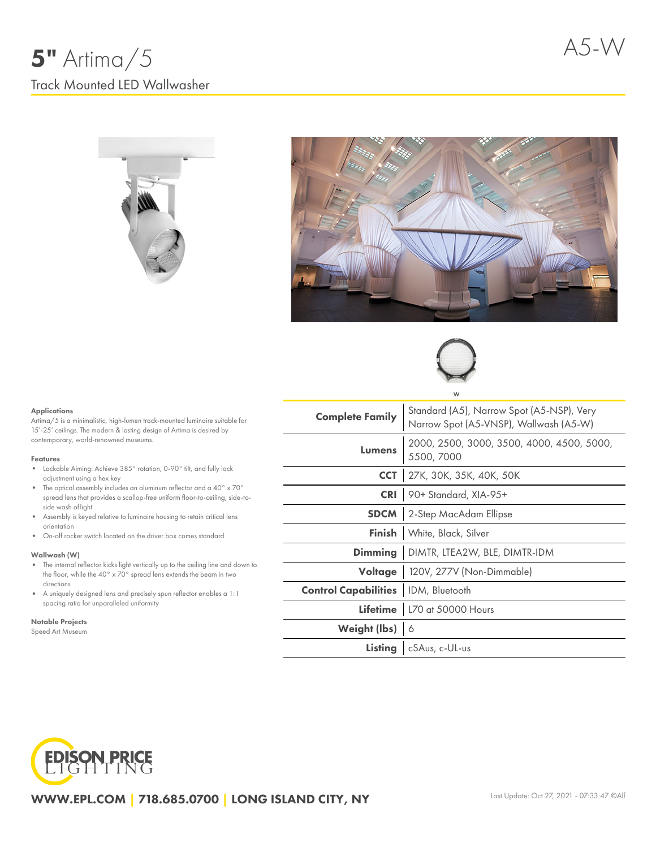





#### Applications

Artima/5 is a minimalistic, high-lumen track-mounted luminaire suitable for 15'-25' ceilings. The modern & lasting design of Artima is desired by contemporary, world-renowned museums.

#### Features

- Lockable Aiming: Achieve 385° rotation, 0-90° tilt, and fully lock adjustment using a hex key
- $\bullet$  The optical assembly includes an aluminum reflector and a 40° x 70° spread lens that provides a scallop-free uniform floor-to-ceiling, side-toside wash oflight
- Assembly is keyed relative to luminaire housing to retain critical lens orientation
- On-off rocker switch located on the driver box comes standard

#### Wallwash (W)

- The internal reflector kicks light vertically up to the ceiling line and down to the floor, while the 40° x 70° spread lens extends the beam in two directions
- A uniquely designed lens and precisely spun reflector enables a 1:1 spacing ratio for unparalleled uniformity

#### Notable Projects

Speed Art Museum

| W                                            |                                                                                     |  |  |  |  |  |
|----------------------------------------------|-------------------------------------------------------------------------------------|--|--|--|--|--|
| <b>Complete Family</b>                       | Standard (A5), Narrow Spot (A5-NSP), Very<br>Narrow Spot (A5-VNSP), Wallwash (A5-W) |  |  |  |  |  |
| <b>Lumens</b>                                | 2000, 2500, 3000, 3500, 4000, 4500, 5000,<br>5500, 7000                             |  |  |  |  |  |
| <b>CCT</b>                                   | 27K, 30K, 35K, 40K, 50K                                                             |  |  |  |  |  |
|                                              | CRI 90+ Standard, XIA-95+                                                           |  |  |  |  |  |
|                                              | <b>SDCM</b> 2-Step MacAdam Ellipse                                                  |  |  |  |  |  |
|                                              | <b>Finish</b>   White, Black, Silver                                                |  |  |  |  |  |
|                                              | <b>Dimming</b>   DIMTR, LTEA2W, BLE, DIMTR-IDM                                      |  |  |  |  |  |
|                                              | Voltage   120V, 277V (Non-Dimmable)                                                 |  |  |  |  |  |
| <b>Control Capabilities</b>   IDM, Bluetooth |                                                                                     |  |  |  |  |  |
|                                              | Lifetime   L70 at 50000 Hours                                                       |  |  |  |  |  |
| Weight (lbs) 6                               |                                                                                     |  |  |  |  |  |
|                                              | Listing   cSAus, c-UL-us                                                            |  |  |  |  |  |



WWW.EPL.COM | 718.685.0700 | LONG ISLAND CITY, NY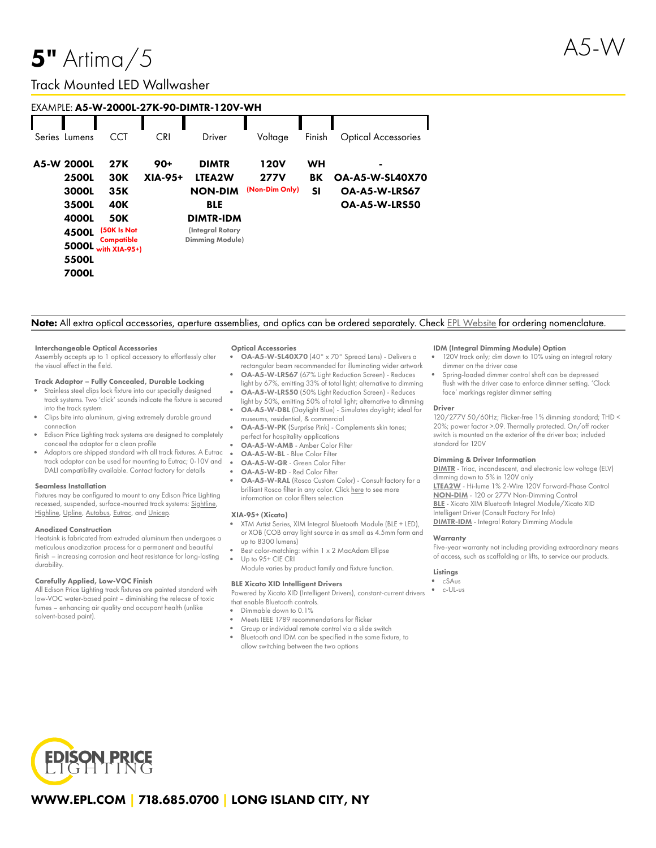# $5"$  Artima $/5$

## Track Mounted LED Wallwasher

| EXAMPLE: A5-W-2000L-27K-90-DIMTR-120V-WH |              |                               |            |                        |                |        |                            |  |
|------------------------------------------|--------------|-------------------------------|------------|------------------------|----------------|--------|----------------------------|--|
|                                          |              |                               |            |                        |                |        |                            |  |
| Series Lumens                            |              | <b>CCT</b>                    | <b>CRI</b> | Driver                 | Voltage        | Finish | <b>Optical Accessories</b> |  |
| A5-W 2000L                               |              | 27K                           | $90+$      | <b>DIMTR</b>           | <b>120V</b>    | WH     | $\blacksquare$             |  |
|                                          | <b>2500L</b> | 30K                           | XIA-95+    | LTEA2W                 | <b>277V</b>    | BK     | <b>OA-A5-W-SL40X70</b>     |  |
|                                          | 3000L        | 35K                           |            | <b>NON-DIM</b>         | (Non-Dim Only) | SΙ     | OA-A5-W-LRS67              |  |
|                                          | 3500L        | 40K                           |            | <b>BLE</b>             |                |        | OA-A5-W-LRS50              |  |
|                                          | 4000L        | <b>50K</b>                    |            | <b>DIMTR-IDM</b>       |                |        |                            |  |
|                                          | 4500L        | (50K Is Not                   |            | (Integral Rotary       |                |        |                            |  |
|                                          | 5000L        | Compatible<br>with $XIA-95+1$ |            | <b>Dimming Module)</b> |                |        |                            |  |
|                                          | 5500L        |                               |            |                        |                |        |                            |  |
|                                          | <b>7000L</b> |                               |            |                        |                |        |                            |  |

### Note: All extra optical accessories, aperture assemblies, and optics can be ordered separately. Check EPL [Website](https://www.epl.com/) for ordering nomenclature.

#### Interchangeable Optical Accessories

Assembly accepts up to 1 optical accessory to effortlessly alter the visual effect in the field.

#### Track Adaptor – Fully Concealed, Durable Locking

- Stainless steel clips lock fixture into our specially designed track systems. Two 'click' sounds indicate the fixture is secured into the track system
- Clips bite into aluminum, giving extremely durable ground connection
- Edison Price Lighting track systems are designed to completely conceal the adaptor for a clean profile
- Adaptors are shipped standard with all track fixtures. A Eutrac track adaptor can be used for mounting to Eutrac; 0-10V and DALI compatibility available. Contact factory for details

#### Seamless Installation

Fixtures may be configured to mount to any Edison Price Lighting recessed, suspended, surface-mounted track systems: [Sightline,](https://epl.com/sightline/) [Highline](https://epl.com/highline/), [Upline](https://epl.com/upline/), [Autobus,](https://epl.com/autobus/) [Eutrac,](https://eutrac.de/product/2surface-track-bus/?lang=en) and [Unicep.](https://epl.com/unicep/)

#### Anodized Construction

Heatsink is fabricated from extruded aluminum then undergoes a meticulous anodization process for a permanent and beautiful finish – increasing corrosion and heat resistance for long-lasting durability.

#### Carefully Applied, Low-VOC Finish

All Edison Price Lighting track fixtures are painted standard with low-VOC water-based paint – diminishing the release of toxic fumes – enhancing air quality and occupant health (unlike solvent-based paint).

#### Optical Accessories

- OA-A5-W-SL40X70 (40° x 70° Spread Lens) Delivers a rectangular beam recommended for illuminating wider artwork
- OA-A5-W-LRS67 (67% Light Reduction Screen) Reduces light by 67%, emitting 33% of total light; alternative to dimming OA-A5-W-LRS50 (50% Light Reduction Screen) - Reduces
- light by 50%, emitting 50% of total light; alternative to dimming OA-A5-W-DBL (Daylight Blue) - Simulates daylight; ideal for museums, residential, & commercial
- OA-A5-W-PK (Surprise Pink) Complements skin tones; perfect for hospitality applications
- OA-A5-W-AMB Amber Color Filter
- OA-A5-W-BL Blue Color Filter
- OA-A5-W-GR Green Color Filter
- OA-A5-W-RD Red Color Filter
- OA-A5-W-RAL (Rosco Custom Color) Consult factory for a brilliant Rosco filter in any color. Click [here](https://us.rosco.com/en/products/catalog/roscolux) to see more information on color filters selection

#### XIA-95+ (Xicato)

- XTM Artist Series, XIM Integral Bluetooth Module (BLE + LED), or XOB (COB array light source in as small as 4.5mm form and up to 8300 lumens)
- Best color-matching: within 1 x 2 MacAdam Ellipse
- Up to 95+ CIE CRI Module varies by product family and fixture function.

#### BLE Xicato XID Intelligent Drivers

Powered by Xicato XID (Intelligent Drivers), constant-current drivers that enable Bluetooth controls.

Dimmable down to 0.1%

- Meets IEEE 1789 recommendations for flicker
- Group or individual remote control via a slide switch
- Bluetooth and IDM can be specified in the same fixture, to allow switching between the two options

#### IDM (Integral Dimming Module) Option

- 120V track only; dim down to 10% using an integral rotary dimmer on the driver case
- Spring-loaded dimmer control shaft can be depressed flush with the driver case to enforce dimmer setting. 'Clock face' markings register dimmer setting

#### Driver

120/277V 50/60Hz; Flicker-free 1% dimming standard; THD < 20%; power factor >.09. Thermally protected. On/off rocker switch is mounted on the exterior of the driver box; included standard for 120V

#### Dimming & Driver Information

[DIMTR](http://epl.com/media/driver/dimtr.pdf) - Triac, incandescent, and electronic low voltage (ELV) dimming down to 5% in 120V only [LTEA2W](http://epl.com/media/driver/ltea2w.pdf) - Hi-lume 1% 2-Wire 120V Forward-Phase Control [NON-DIM](http://epl.com/media/driver/non-dim.pdf) - 120 or 277V Non-Dimming Control

[BLE](http://epl.com/media/driver/ble.pdf) - Xicato XIM Bluetooth Integral Module/Xicato XID Intelligent Driver (Consult Factory For Info) [DIMTR-IDM](http://epl.com/media/driver/dimtr-idm.pdf) - Integral Rotary Dimming Module

#### **Warranty**

Five-year warranty not including providing extraordinary means of access, such as scaffolding or lifts, to service our products.

#### Listings

- cSAus
- c-UL-us

**EDISON PRICE**